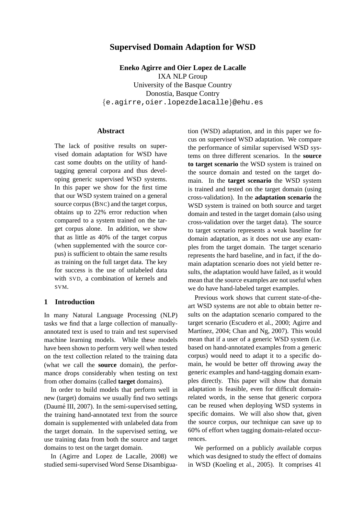# **Supervised Domain Adaption for WSD**

**Eneko Agirre and Oier Lopez de Lacalle** IXA NLP Group University of the Basque Country Donostia, Basque Contry {e.agirre,oier.lopezdelacalle}@ehu.es

## **Abstract**

The lack of positive results on supervised domain adaptation for WSD have cast some doubts on the utility of handtagging general corpora and thus developing generic supervised WSD systems. In this paper we show for the first time that our WSD system trained on a general source corpus (BNC) and the target corpus, obtains up to 22% error reduction when compared to a system trained on the target corpus alone. In addition, we show that as little as 40% of the target corpus (when supplemented with the source corpus) is sufficient to obtain the same results as training on the full target data. The key for success is the use of unlabeled data with SVD, a combination of kernels and SVM.

### **1 Introduction**

In many Natural Language Processing (NLP) tasks we find that a large collection of manuallyannotated text is used to train and test supervised machine learning models. While these models have been shown to perform very well when tested on the text collection related to the training data (what we call the **source** domain), the performance drops considerably when testing on text from other domains (called **target** domains).

In order to build models that perform well in new (target) domains we usually find two settings (Daumé III,  $2007$ ). In the semi-supervised setting, the training hand-annotated text from the source domain is supplemented with unlabeled data from the target domain. In the supervised setting, we use training data from both the source and target domains to test on the target domain.

In (Agirre and Lopez de Lacalle, 2008) we studied semi-supervised Word Sense Disambigua-

tion (WSD) adaptation, and in this paper we focus on supervised WSD adaptation. We compare the performance of similar supervised WSD systems on three different scenarios. In the **source to target scenario** the WSD system is trained on the source domain and tested on the target domain. In the **target scenario** the WSD system is trained and tested on the target domain (using cross-validation). In the **adaptation scenario** the WSD system is trained on both source and target domain and tested in the target domain (also using cross-validation over the target data). The source to target scenario represents a weak baseline for domain adaptation, as it does not use any examples from the target domain. The target scenario represents the hard baseline, and in fact, if the domain adaptation scenario does not yield better results, the adaptation would have failed, as it would mean that the source examples are not useful when we do have hand-labeled target examples.

Previous work shows that current state-of-theart WSD systems are not able to obtain better results on the adaptation scenario compared to the target scenario (Escudero et al., 2000; Agirre and Martínez, 2004; Chan and Ng, 2007). This would mean that if a user of a generic WSD system (i.e. based on hand-annotated examples from a generic corpus) would need to adapt it to a specific domain, he would be better off throwing away the generic examples and hand-tagging domain examples directly. This paper will show that domain adaptation is feasible, even for difficult domainrelated words, in the sense that generic corpora can be reused when deploying WSD systems in specific domains. We will also show that, given the source corpus, our technique can save up to 60% of effort when tagging domain-related occurrences.

We performed on a publicly available corpus which was designed to study the effect of domains in WSD (Koeling et al., 2005). It comprises 41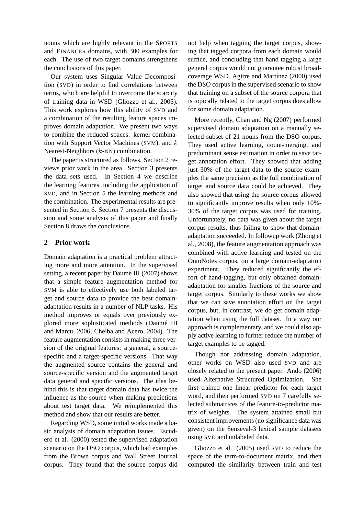nouns which are highly relevant in the SPORTS and FINANCES domains, with 300 examples for each. The use of two target domains strengthens the conclusions of this paper.

Our system uses Singular Value Decomposition (SVD) in order to find correlations between terms, which are helpful to overcome the scarcity of training data in WSD (Gliozzo et al., 2005). This work explores how this ability of SVD and a combination of the resulting feature spaces improves domain adaptation. We present two ways to combine the reduced spaces: kernel combination with Support Vector Machines (SVM), and  $k$ Nearest-Neighbors (k-NN) combination.

The paper is structured as follows. Section 2 reviews prior work in the area. Section 3 presents the data sets used. In Section 4 we describe the learning features, including the application of SVD, and in Section 5 the learning methods and the combination. The experimental results are presented in Section 6. Section 7 presents the discussion and some analysis of this paper and finally Section 8 draws the conclusions.

## **2 Prior work**

Domain adaptation is a practical problem attracting more and more attention. In the supervised setting, a recent paper by Daumé III (2007) shows that a simple feature augmentation method for SVM is able to effectively use both labeled target and source data to provide the best domainadaptation results in a number of NLP tasks. His method improves or equals over previously explored more sophisticated methods (Daumé III and Marcu, 2006; Chelba and Acero, 2004). The feature augmentation consists in making three version of the original features: a general, a sourcespecific and a target-specific versions. That way the augmented source contains the general and source-specific version and the augmented target data general and specific versions. The idea behind this is that target domain data has twice the influence as the source when making predictions about test target data. We reimplemented this method and show that our results are better.

Regarding WSD, some initial works made a basic analysis of domain adaptation issues. Escudero et al. (2000) tested the supervised adaptation scenario on the DSO corpus, which had examples from the Brown corpus and Wall Street Journal corpus. They found that the source corpus did not help when tagging the target corpus, showing that tagged corpora from each domain would suffice, and concluding that hand tagging a large general corpus would not guarantee robust broadcoverage WSD. Agirre and Martínez (2000) used the DSO corpus in the supervised scenario to show that training on a subset of the source corpora that is topically related to the target corpus does allow for some domain adaptation.

More recently, Chan and Ng (2007) performed supervised domain adaptation on a manually selected subset of 21 nouns from the DSO corpus. They used active learning, count-merging, and predominant sense estimation in order to save target annotation effort. They showed that adding just 30% of the target data to the source examples the same precision as the full combination of target and source data could be achieved. They also showed that using the source corpus allowed to significantly improve results when only 10%- 30% of the target corpus was used for training. Unfortunately, no data was given about the target corpus results, thus failing to show that domainadaptation succeeded. In followup work (Zhong et al., 2008), the feature augmentation approach was combined with active learning and tested on the OntoNotes corpus, on a large domain-adaptation experiment. They reduced significantly the effort of hand-tagging, but only obtained domainadaptation for smaller fractions of the source and target corpus. Similarly to these works we show that we can save annotation effort on the target corpus, but, in contrast, we do get domain adaptation when using the full dataset. In a way our approach is complementary, and we could also apply active learning to furhter reduce the number of target examples to be tagged.

Though not addressing domain adaptation, other works on WSD also used SVD and are closely related to the present paper. Ando (2006) used Alternative Structured Optimization. She first trained one linear predictor for each target word, and then performed SVD on 7 carefully selected submatrices of the feature-to-predictor matrix of weights. The system attained small but consistent improvements (no significance data was given) on the Senseval-3 lexical sample datasets using SVD and unlabeled data.

Gliozzo et al. (2005) used SVD to reduce the space of the term-to-document matrix, and then computed the similarity between train and test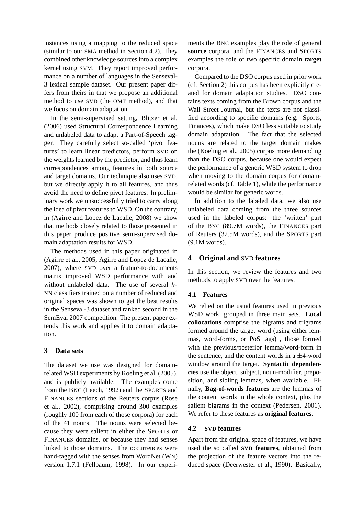instances using a mapping to the reduced space (similar to our SMA method in Section 4.2). They combined other knowledge sources into a complex kernel using SVM. They report improved performance on a number of languages in the Senseval-3 lexical sample dataset. Our present paper differs from theirs in that we propose an additional method to use SVD (the OMT method), and that we focus on domain adaptation.

In the semi-supervised setting, Blitzer et al. (2006) used Structural Correspondence Learning and unlabeled data to adapt a Part-of-Speech tagger. They carefully select so-called 'pivot features' to learn linear predictors, perform SVD on the weights learned by the predictor, and thus learn correspondences among features in both source and target domains. Our technique also uses SVD, but we directly apply it to all features, and thus avoid the need to define pivot features. In preliminary work we unsuccessfully tried to carry along the idea of pivot features to WSD. On the contrary, in (Agirre and Lopez de Lacalle, 2008) we show that methods closely related to those presented in this paper produce positive semi-supervised domain adaptation results for WSD.

The methods used in this paper originated in (Agirre et al., 2005; Agirre and Lopez de Lacalle, 2007), where SVD over a feature-to-documents matrix improved WSD performance with and without unlabeled data. The use of several k-NN classifiers trained on a number of reduced and original spaces was shown to get the best results in the Senseval-3 dataset and ranked second in the SemEval 2007 competition. The present paper extends this work and applies it to domain adaptation.

## **3 Data sets**

The dataset we use was designed for domainrelated WSD experiments by Koeling et al. (2005), and is publicly available. The examples come from the BNC (Leech, 1992) and the SPORTS and FINANCES sections of the Reuters corpus (Rose et al., 2002), comprising around 300 examples (roughly 100 from each of those corpora) for each of the 41 nouns. The nouns were selected because they were salient in either the SPORTS or FINANCES domains, or because they had senses linked to those domains. The occurrences were hand-tagged with the senses from WordNet (WN) version 1.7.1 (Fellbaum, 1998). In our experiments the BNC examples play the role of general **source** corpora, and the FINANCES and SPORTS examples the role of two specific domain **target** corpora.

Compared to the DSO corpus used in prior work (cf. Section 2) this corpus has been explicitly created for domain adaptation studies. DSO contains texts coming from the Brown corpus and the Wall Street Journal, but the texts are not classified according to specific domains (e.g. Sports, Finances), which make DSO less suitable to study domain adaptation. The fact that the selected nouns are related to the target domain makes the (Koeling et al., 2005) corpus more demanding than the DSO corpus, because one would expect the performance of a generic WSD system to drop when moving to the domain corpus for domainrelated words (cf. Table 1), while the performance would be similar for generic words.

In addition to the labeled data, we also use unlabeled data coming from the three sources used in the labeled corpus: the 'written' part of the BNC (89.7M words), the FINANCES part of Reuters (32.5M words), and the SPORTS part (9.1M words).

### **4 Original and** SVD **features**

In this section, we review the features and two methods to apply SVD over the features.

### **4.1 Features**

We relied on the usual features used in previous WSD work, grouped in three main sets. **Local collocations** comprise the bigrams and trigrams formed around the target word (using either lemmas, word-forms, or PoS tags) , those formed with the previous/posterior lemma/word-form in the sentence, and the content words in a  $\pm$ 4-word window around the target. **Syntactic dependencies** use the object, subject, noun-modifier, preposition, and sibling lemmas, when available. Finally, **Bag-of-words features** are the lemmas of the content words in the whole context, plus the salient bigrams in the context (Pedersen, 2001). We refer to these features as **original features**.

### **4.2 SVD features**

Apart from the original space of features, we have used the so called **SVD features**, obtained from the projection of the feature vectors into the reduced space (Deerwester et al., 1990). Basically,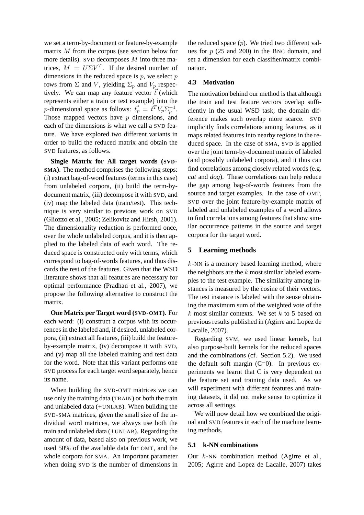we set a term-by-document or feature-by-example matrix M from the corpus (see section below for more details). SVD decomposes  $M$  into three matrices,  $M = U\Sigma V^T$ . If the desired number of dimensions in the reduced space is  $p$ , we select  $p$ rows from  $\Sigma$  and V, yielding  $\Sigma_p$  and  $V_p$  respectively. We can map any feature vector  $\vec{t}$  (which represents either a train or test example) into the p-dimensional space as follows:  $\vec{t}_p = \vec{t}^T V_p \Sigma_p^{-1}$  $_{p}^{-1}.$ Those mapped vectors have  $p$  dimensions, and each of the dimensions is what we call a SVD feature. We have explored two different variants in order to build the reduced matrix and obtain the SVD features, as follows.

**Single Matrix for All target words (SVD-SMA)**. The method comprises the following steps: (i) extract bag-of-word features (terms in this case) from unlabeled corpora, (ii) build the term-bydocument matrix, (iii) decompose it with SVD, and (iv) map the labeled data (train/test). This technique is very similar to previous work on SVD (Gliozzo et al., 2005; Zelikovitz and Hirsh, 2001). The dimensionality reduction is performed once, over the whole unlabeled corpus, and it is then applied to the labeled data of each word. The reduced space is constructed only with terms, which correspond to bag-of-words features, and thus discards the rest of the features. Given that the WSD literature shows that all features are necessary for optimal performance (Pradhan et al., 2007), we propose the following alternative to construct the matrix.

**One Matrix per Target word (SVD-OMT)**. For each word: (i) construct a corpus with its occurrences in the labeled and, if desired, unlabeled corpora, (ii) extract all features, (iii) build the featureby-example matrix, (iv) decompose it with SVD, and (v) map all the labeled training and test data for the word. Note that this variant performs one SVD process for each target word separately, hence its name.

When building the SVD-OMT matrices we can use only the training data (TRAIN) or both the train and unlabeled data (+UNLAB). When building the SVD-SMA matrices, given the small size of the individual word matrices, we always use both the train and unlabeled data (+UNLAB). Regarding the amount of data, based also on previous work, we used 50% of the available data for OMT, and the whole corpora for SMA. An important parameter when doing SVD is the number of dimensions in the reduced space  $(p)$ . We tried two different values for  $p(25 \text{ and } 200)$  in the BNC domain, and set a dimension for each classifier/matrix combination.

### **4.3 Motivation**

The motivation behind our method is that although the train and test feature vectors overlap sufficiently in the usual WSD task, the domain difference makes such overlap more scarce. SVD implicitly finds correlations among features, as it maps related features into nearby regions in the reduced space. In the case of SMA, SVD is applied over the joint term-by-document matrix of labeled (and possibly unlabeled corpora), and it thus can find correlations among closely related words (e.g. *cat* and *dog*). These correlations can help reduce the gap among bag-of-words features from the source and target examples. In the case of OMT, SVD over the joint feature-by-example matrix of labeled and unlabeled examples of a word allows to find correlations among features that show similar occurrence patterns in the source and target corpora for the target word.

### **5 Learning methods**

 $k$ -NN is a memory based learning method, where the neighbors are the  $k$  most similar labeled examples to the test example. The similarity among instances is measured by the cosine of their vectors. The test instance is labeled with the sense obtaining the maximum sum of the weighted vote of the  $k$  most similar contexts. We set  $k$  to 5 based on previous results published in (Agirre and Lopez de Lacalle, 2007).

Regarding SVM, we used linear kernels, but also purpose-built kernels for the reduced spaces and the combinations (cf. Section 5.2). We used the default soft margin  $(C=0)$ . In previous experiments we learnt that C is very dependent on the feature set and training data used. As we will experiment with different features and training datasets, it did not make sense to optimize it across all settings.

We will now detail how we combined the original and SVD features in each of the machine learning methods.

### **5.1 k-NN combinations**

Our k-NN combination method (Agirre et al., 2005; Agirre and Lopez de Lacalle, 2007) takes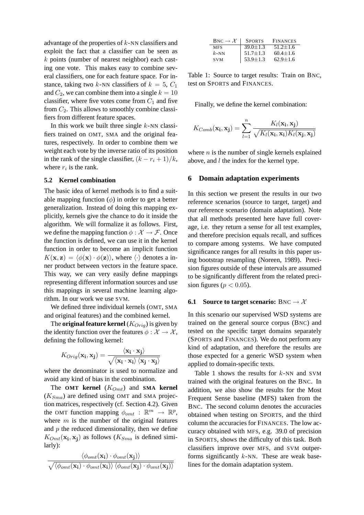advantage of the properties of  $k$ -NN classifiers and exploit the fact that a classifier can be seen as k points (number of nearest neighbor) each casting one vote. This makes easy to combine several classifiers, one for each feature space. For instance, taking two k-NN classifiers of  $k = 5$ ,  $C_1$ and  $C_2$ , we can combine them into a single  $k = 10$ classifier, where five votes come from  $C_1$  and five from  $C_2$ . This allows to smoothly combine classifiers from different feature spaces.

In this work we built three single  $k$ -NN classifiers trained on OMT, SMA and the original features, respectively. In order to combine them we weight each vote by the inverse ratio of its position in the rank of the single classifier,  $(k - r_i + 1)/k$ , where  $r_i$  is the rank.

#### **5.2 Kernel combination**

The basic idea of kernel methods is to find a suitable mapping function  $(\phi)$  in order to get a better generalization. Instead of doing this mapping explicitly, kernels give the chance to do it inside the algorithm. We will formalize it as follows. First, we define the mapping function  $\phi : \mathcal{X} \to \mathcal{F}$ . Once the function is defined, we can use it in the kernel function in order to become an implicit function  $K(\mathbf{x}, \mathbf{z}) = \langle \phi(\mathbf{x}) \cdot \phi(\mathbf{z}) \rangle$ , where  $\langle \cdot \rangle$  denotes a inner product between vectors in the feature space. This way, we can very easily define mappings representing different information sources and use this mappings in several machine learning algorithm. In our work we use SVM.

We defined three individual kernels (OMT, SMA and original features) and the combined kernel.

The **original feature kernel**  $(K<sub>Oriq</sub>)$  is given by the identity function over the features  $\phi : \mathcal{X} \to \mathcal{X}$ , defining the following kernel:

$$
K_{Orig}(\mathbf{x_i}, \mathbf{x_j}) = \frac{\langle \mathbf{x_i} \cdot \mathbf{x_j} \rangle}{\sqrt{\langle \mathbf{x_i} \cdot \mathbf{x_i} \rangle \langle \mathbf{x_j} \cdot \mathbf{x_j} \rangle}}
$$

where the denominator is used to normalize and avoid any kind of bias in the combination.

The **OMT** kernel  $(K_{Omt})$  and **SMA** kernel  $(K<sub>Sma</sub>)$  are defined using OMT and SMA projection matrices, respectively (cf. Section 4.2). Given the OMT function mapping  $\phi_{omt} : \mathbb{R}^m \to \mathbb{R}^p$ , where  $m$  is the number of the original features and  $p$  the reduced dimensionality, then we define  $K_{Omt}(\mathbf{x_i}, \mathbf{x_j})$  as follows  $(K_{Sma}$  is defined similarly):

$$
\frac{\left\langle \phi_{omt}(\mathbf{x_i}) \cdot \phi_{omt}(\mathbf{x_j}) \right\rangle}{\sqrt{\left\langle \phi_{omt}(\mathbf{x_i}) \cdot \phi_{omt}(\mathbf{x_i}) \right\rangle \left\langle \phi_{omt}(\mathbf{x_j}) \cdot \phi_{omt}(\mathbf{x_j}) \right\rangle}}
$$

| $BNC \to \mathcal{X}$ | <b>SPORTS</b>  | <b>FINANCES</b> |
|-----------------------|----------------|-----------------|
| <b>MFS</b>            | $39.0 \pm 1.3$ | $51.2 + 1.6$    |
| $k$ -NN               | $51.7 \pm 1.3$ | $60.4 \pm 1.6$  |
| <b>SVM</b>            | $53.9 \pm 1.3$ | $62.9 + 1.6$    |

Table 1: Source to target results: Train on BNC, test on SPORTS and FINANCES.

Finally, we define the kernel combination:

$$
K_{Comb}(\mathbf{x_i}, \mathbf{x_j}) = \sum_{l=1}^{n} \frac{K_l(\mathbf{x_i}, \mathbf{x_j})}{\sqrt{K_l(\mathbf{x_i}, \mathbf{x_i}) K_l(\mathbf{x_j}, \mathbf{x_j})}}
$$

where  $n$  is the number of single kernels explained above, and  $l$  the index for the kernel type.

#### **6 Domain adaptation experiments**

In this section we present the results in our two reference scenarios (source to target, target) and our reference scenario (domain adaptation). Note that all methods presented here have full coverage, i.e. they return a sense for all test examples, and therefore precision equals recall, and suffices to compare among systems. We have computed significance ranges for all results in this paper using bootstrap resampling (Noreen, 1989). Precision figures outside of these intervals are assumed to be significantly different from the related precision figures ( $p < 0.05$ ).

#### **6.1 Source to target scenario:** BNC  $\rightarrow \mathcal{X}$

In this scenario our supervised WSD systems are trained on the general source corpus (BNC) and tested on the specific target domains separately (SPORTS and FINANCES). We do not perform any kind of adaptation, and therefore the results are those expected for a generic WSD system when applied to domain-specific texts.

Table 1 shows the results for  $k$ -NN and SVM trained with the original features on the BNC. In addition, we also show the results for the Most Frequent Sense baseline (MFS) taken from the BNC. The second column denotes the accuracies obtained when testing on SPORTS, and the third column the accuracies for FINANCES. The low accuracy obtained with MFS, e.g. 39.0 of precision in SPORTS, shows the difficulty of this task. Both classifiers improve over MFS, and SVM outperforms significantly  $k$ -NN. These are weak baselines for the domain adaptation system.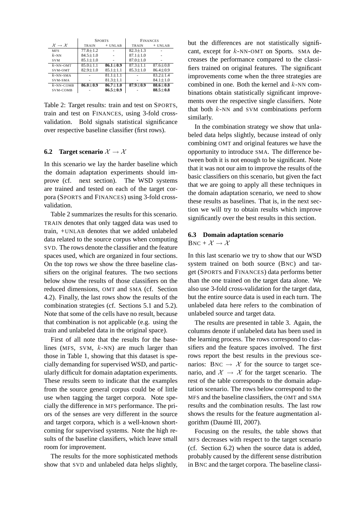|                                       | <b>SPORTS</b>  |                | <b>FINANCES</b> |                |
|---------------------------------------|----------------|----------------|-----------------|----------------|
| $\mathcal{X} \rightarrow \mathcal{X}$ | <b>TRAIN</b>   | $+$ UNLAB      | TRAIN           | $+$ UNLAB      |
| <b>MFS</b>                            | $77.8 \pm 1.2$ |                | $82.3 \pm 1.3$  |                |
| $k$ -NN                               | $84.5 \pm 1.0$ |                | $87.1 \pm 1.0$  |                |
| <b>SVM</b>                            | $85.1 \pm 1.0$ |                | $87.0 \pm 1.0$  |                |
| $k$ -NN-OMT                           | $85.0 + 1.1$   | $86.1 + 0.9$   | $87.3 \pm 1.1$  | $87.6 \pm 0.8$ |
| SVM-OMT                               | $82.9 \pm 1.0$ | $85.1 \pm 1.1$ | $85.3 \pm 1.0$  | $86.4 \pm 0.9$ |
| $k$ -NN-SMA                           |                | $81.1 \pm 1.1$ |                 | $83.2 \pm 1.4$ |
| SVM-SMA                               |                | $81.3 \pm 1.1$ |                 | $84.1 \pm 1.0$ |
| $k$ -NN-COMB                          | $86.0 \pm 0.9$ | $86.7 \pm 1.0$ | $87.9 + 0.9$    | $88.6 \pm 0.8$ |
| SVM-COMB                              |                | $86.5 \pm 0.9$ |                 | $88.5 \pm 0.8$ |

Table 2: Target results: train and test on SPORTS, train and test on FINANCES, using 3-fold crossvalidation. Bold signals statistical significance over respective baseline classifier (first rows).

#### **6.2** Target scenario  $\mathcal{X} \rightarrow \mathcal{X}$

In this scenario we lay the harder baseline which the domain adaptation experiments should improve (cf. next section). The WSD systems are trained and tested on each of the target corpora (SPORTS and FINANCES) using 3-fold crossvalidation.

Table 2 summarizes the results for this scenario. TRAIN denotes that only tagged data was used to train, +UNLAB denotes that we added unlabeled data related to the source corpus when computing SVD. The rows denote the classifier and the feature spaces used, which are organized in four sections. On the top rows we show the three baseline classifiers on the original features. The two sections below show the results of those classifiers on the reduced dimensions, OMT and SMA (cf. Section 4.2). Finally, the last rows show the results of the combination strategies (cf. Sections 5.1 and 5.2). Note that some of the cells have no result, because that combination is not applicable (e.g. using the train and unlabeled data in the original space).

First of all note that the results for the baselines (MFS, SVM,  $k$ -NN) are much larger than those in Table 1, showing that this dataset is specially demanding for supervised WSD, and particularly difficult for domain adaptation experiments. These results seem to indicate that the examples from the source general corpus could be of little use when tagging the target corpora. Note specially the difference in MFS performance. The priors of the senses are very different in the source and target corpora, which is a well-known shortcoming for supervised systems. Note the high results of the baseline classifiers, which leave small room for improvement.

The results for the more sophisticated methods show that SVD and unlabeled data helps slightly, but the differences are not statistically significant, except for  $k$ -NN-OMT on Sports. SMA decreases the performance compared to the classifiers trained on original features. The significant improvements come when the three strategies are combined in one. Both the kernel and  $k$ -NN combinations obtain statistically significant improvements over the respective single classifiers. Note that both  $k$ -NN and SVM combinations perform similarly.

In the combination strategy we show that unlabeled data helps slightly, because instead of only combining OMT and original features we have the opportunity to introduce SMA. The difference between both it is not enough to be significant. Note that it was not our aim to improve the results of the basic classifiers on this scenario, but given the fact that we are going to apply all these techniques in the domain adaptation scenario, we need to show these results as baselines. That is, in the next section we will try to obtain results which improve significantly over the best results in this section.

### **6.3 Domain adaptation scenario**  $BNC + \mathcal{X} \rightarrow \mathcal{X}$

In this last scenario we try to show that our WSD system trained on both source (BNC) and target (SPORTS and FINANCES) data performs better than the one trained on the target data alone. We also use 3-fold cross-validation for the target data, but the entire source data is used in each turn. The unlabeled data here refers to the combination of unlabeled source and target data.

The results are presented in table 3. Again, the columns denote if unlabeled data has been used in the learning process. The rows correspond to classifiers and the feature spaces involved. The first rows report the best results in the previous scenarios: BNC  $\rightarrow \mathcal{X}$  for the source to target scenario, and  $\mathcal{X} \rightarrow \mathcal{X}$  for the target scenario. The rest of the table corresponds to the domain adaptation scenario. The rows below correspond to the MFS and the baseline classifiers, the OMT and SMA results and the combination results. The last row shows the results for the feature augmentation algorithm (Daumé III, 2007).

Focusing on the results, the table shows that MFS decreases with respect to the target scenario (cf. Section 6.2) when the source data is added, probably caused by the different sense distribution in BNC and the target corpora. The baseline classi-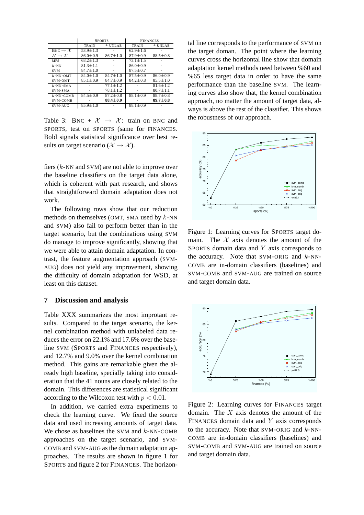|                                       | <b>SPORTS</b>  |                | <b>FINANCES</b> |                |
|---------------------------------------|----------------|----------------|-----------------|----------------|
|                                       | <b>TRAIN</b>   | $+$ UNLAB      | <b>TRAIN</b>    | $+ UNLAB$      |
| $BNC \to \mathcal{X}$                 | $53.9 \pm 1.3$ |                | $62.9 \pm 1.6$  |                |
| $\mathcal{X} \rightarrow \mathcal{X}$ | $86.0 + 0.9$   | $86.7 + 1.0$   | $87.9 + 0.9$    | $88.5 \pm 0.8$ |
| <b>MFS</b>                            | $68.2 \pm 1.3$ |                | $73.1 + 1.5$    |                |
| $k$ -NN                               | $81.3 \pm 1.1$ |                | $86.0 \pm 0.9$  |                |
| <b>SVM</b>                            | $84.7 \pm 1.0$ |                | $87.5 \pm 0.7$  |                |
| $k$ -NN-OMT                           | $84.0 + 1.0$   | $84.7 \pm 1.0$ | $87.5 + 0.9$    | $86.0 \pm 0.9$ |
| SVM-OMT                               | $85.1 \pm 0.9$ | $84.7 + 0.9$   | $84.2 + 0.8$    | $85.5 \pm 1.0$ |
| $k$ -NN-SMA                           |                | $77.1 + 1.2$   |                 | $81.6 + 1.2$   |
| SVM-SMA                               |                | $78.1 \pm 1.2$ |                 | $80.7 \pm 1.1$ |
| $k$ -NN-COMB                          | $84.5 + 0.9$   | $87.2 \pm 0.8$ | $88.1 + 0.9$    | $88.7 + 0.8$   |
| SVM-COMB                              |                | $88.4 \pm 0.9$ |                 | $89.7 \pm 0.8$ |
| SVM-AUG                               | $85.9 + 1.0$   |                | $88.1 \pm 0.9$  |                |

Table 3: BNC +  $\mathcal{X} \rightarrow \mathcal{X}$ : train on BNC and SPORTS, test on SPORTS (same for FINANCES. Bold signals statistical significance over best results on target scenario ( $\mathcal{X} \rightarrow \mathcal{X}$ ).

fiers (k-NN and SVM) are not able to improve over the baseline classifiers on the target data alone, which is coherent with part research, and shows that straightforward domain adaptation does not work.

The following rows show that our reduction methods on themselves (OMT, SMA used by  $k$ -NN and SVM) also fail to perform better than in the target scenario, but the combinations using SVM do manage to improve significantly, showing that we were able to attain domain adaptation. In contrast, the feature augmentation approach (SVM-AUG) does not yield any improvement, showing the difficulty of domain adaptation for WSD, at least on this dataset.

#### **7 Discussion and analysis**

Table XXX summarizes the most improtant results. Compared to the target scenario, the kernel combination method with unlabeled data reduces the error on 22.1% and 17.6% over the baseline SVM (SPORTS and FINANCES respectively), and 12.7% and 9.0% over the kernel combination method. This gains are remarkable given the already high baseline, specially taking into consideration that the 41 nouns are closely related to the domain. This differences are statistical significant according to the Wilcoxon test with  $p < 0.01$ .

In addition, we carried extra experiments to check the learning curve. We fixed the source data and used increasing amounts of target data. We chose as baselines the SVM and  $k$ -NN-COMB approaches on the target scenario, and SVM-COMB and SVM-AUG as the domain adaptation approaches. The results are shown in figure 1 for SPORTS and figure 2 for FINANCES. The horizontal line corresponds to the performance of SVM on the target doman. The point where the learning curves cross the horizontal line show that domain adaptation kernel methods need between %60 and %65 less target data in order to have the same performance than the baseline SVM. The learning curves also show that, the kernel combination approach, no matter the amount of target data, always is above the rest of the classifier. This shows the robustness of our approach.



Figure 1: Learning curves for SPORTS target domain. The  $X$  axis denotes the amount of the SPORTS domain data and Y axis corresponds to the accuracy. Note that SVM-ORIG and  $k$ -NN-COMB are in-domain classifiers (baselines) and SVM-COMB and SVM-AUG are trained on source and target domain data.



Figure 2: Learning curves for FINANCES target domain. The  $X$  axis denotes the amount of the FINANCES domain data and  $Y$  axis corresponds to the accuracy. Note that SVM-ORIG and  $k$ -NN-COMB are in-domain classifiers (baselines) and SVM-COMB and SVM-AUG are trained on source and target domain data.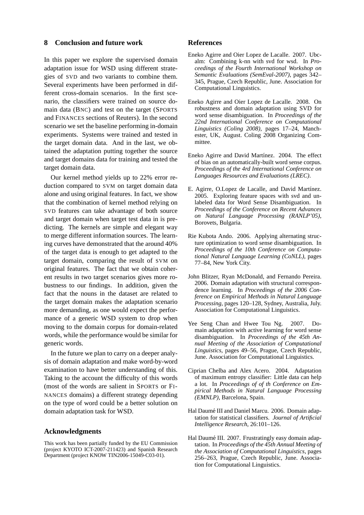### **8 Conclusion and future work**

In this paper we explore the supervised domain adaptation issue for WSD using different strategies of SVD and two variants to combine them. Several experiments have been performed in different cross-domain scenarios. In the first scenario, the classifiers were trained on source domain data (BNC) and test on the target (SPORTS and FINANCES sections of Reuters). In the second scenario we set the baseline performing in-domain experiments. Systems were trained and tested in the target domain data. And in the last, we obtained the adaptation putting together the source and target domains data for training and tested the target domain data.

Our kernel method yields up to 22% error reduction compared to SVM on target domain data alone and using original features. In fact, we show that the combination of kernel method relying on SVD features can take advantage of both source and target domain when target test data in is predicting. The kernels are simple and elegant way to merge different information sources. The learning curves have demonstrated that the around 40% of the target data is enough to get adapted to the target domain, comparing the result of SVM on original features. The fact that we obtain coherent results in two target scenarios gives more robustness to our findings. In addition, given the fact that the nouns in the dataset are related to the target domain makes the adaptation scenario more demanding, as one would expect the performance of a generic WSD system to drop when moving to the domain corpus for domain-related words, while the performance would be similar for generic words.

In the future we plan to carry on a deeper analysis of domain adaptation and make word-by-word examination to have better understanding of this. Taking to the account the difficulty of this words (most of the words are salient in SPORTS or FI-NANCES domains) a different strategy depending on the type of word could be a better solution on domain adaptation task for WSD.

## **Acknowledgments**

This work has been partially funded by the EU Commission (project KYOTO ICT-2007-211423) and Spanish Research Department (project KNOW TIN2006-15049-C03-01).

### **References**

- Eneko Agirre and Oier Lopez de Lacalle. 2007. Ubcalm: Combining k-nn with svd for wsd. In *Proceedings of the Fourth International Workshop on Semantic Evaluations (SemEval-2007)*, pages 342– 345, Prague, Czech Republic, June. Association for Computational Linguistics.
- Eneko Agirre and Oier Lopez de Lacalle. 2008. On robustness and domain adaptation using SVD for word sense disambiguation. In *Proceedings of the 22nd International Conference on Computational Linguistics (Coling 2008)*, pages 17–24, Manchester, UK, August. Coling 2008 Organizing Committee.
- Eneko Agirre and David Martínez. 2004. The effect of bias on an automatically-built word sense corpus. *Proceedings of the 4rd International Conference on Languages Resources and Evaluations (LREC)*.
- E. Agirre, O.Lopez de Lacalle, and David Martínez. 2005. Exploring feature spaces with svd and unlabeled data for Word Sense Disambiguation. In *Proceedings of the Conference on Recent Advances on Natural Language Processing (RANLP'05)*, Borovets, Bulgaria.
- Rie Kubota Ando. 2006. Applying alternating structure optimization to word sense disambiguation. In *Proceedings of the 10th Conference on Computational Natural Language Learning (CoNLL)*, pages 77–84, New York City.
- John Blitzer, Ryan McDonald, and Fernando Pereira. 2006. Domain adaptation with structural correspondence learning. In *Proceedings of the 2006 Conference on Empirical Methods in Natural Language Processing*, pages 120–128, Sydney, Australia, July. Association for Computational Linguistics.
- Yee Seng Chan and Hwee Tou Ng. 2007. Domain adaptation with active learning for word sense disambiguation. In *Proceedings of the 45th Annual Meeting of the Association of Computational Linguistics*, pages 49–56, Prague, Czech Republic, June. Association for Computational Linguistics.
- Ciprian Chelba and Alex Acero. 2004. Adaptation of maximum entropy classifier: Little data can help a lot. In *Proceedings of of th Conference on Empirical Methods in Natural Language Processing (EMNLP)*, Barcelona, Spain.
- Hal Daumé III and Daniel Marcu. 2006. Domain adaptation for statistical classifiers. *Journal of Artificial Intelligence Research*, 26:101–126.
- Hal Daumé III. 2007. Frustratingly easy domain adaptation. In *Proceedings of the 45th Annual Meeting of the Association of Computational Linguistics*, pages 256–263, Prague, Czech Republic, June. Association for Computational Linguistics.